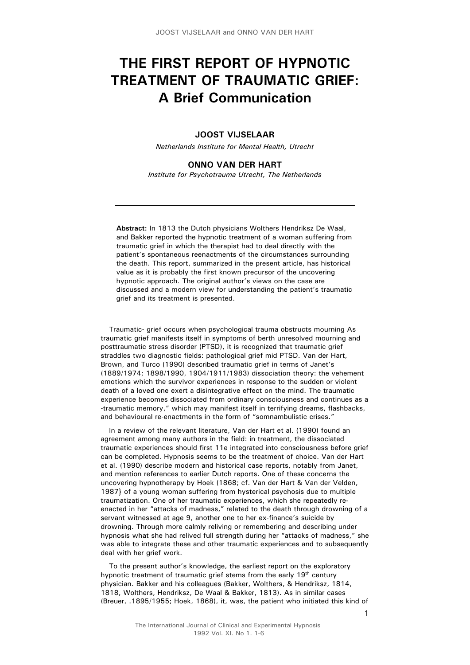# **THE FIRST REPORT OF HYPNOTIC TREATMENT OF TRAUMATIC GRIEF: A Brief Communication**

# **JOOST VIJSELAAR**

*Netherlands Institute for Mental Health, Utrecht* 

## **ONNO VAN DER HART** *Institute for Psychotrauma Utrecht, The Netherlands*

**Abstract:** In 1813 the Dutch physicians Wolthers Hendriksz De Waal, and Bakker reported the hypnotic treatment of a woman suffering from traumatic grief in which the therapist had to deal directly with the patient's spontaneous reenactments of the circumstances surrounding the death. This report, summarized in the present article, has historical value as it is probably the first known precursor of the uncovering hypnotic approach. The original author's views on the case are discussed and a modern view for understanding the patient's traumatic grief and its treatment is presented.

Traumatic- grief occurs when psychological trauma obstructs mourning As traumatic grief manifests itself in symptoms of berth unresolved mourning and posttraumatic stress disorder (PTSD), it is recognized that traumatic grief straddles two diagnostic fields: pathological grief mid PTSD. Van der Hart, Brown, and Turco (1990) described traumatic grief in terms of Janet's (1889/1974; 1898/1990, 1904/1911/1983) dissociation theory: the vehement emotions which the survivor experiences in response to the sudden or violent death of a loved one exert a disintegrative effect on the mind. The traumatic experience becomes dissociated from ordinary consciousness and continues as a -traumatic memory," which may manifest itself in terrifying dreams, flashbacks, and behavioural re-enactments in the form of "somnambulistic crises."

In a review of the relevant literature, Van der Hart et al. (1990) found an agreement among many authors in the field: in treatment, the dissociated traumatic experiences should first 11e integrated into consciousness before grief can be completed. Hypnosis seems to be the treatment of choice. Van der Hart et al. (1990) describe modern and historical case reports, notably from Janet, and mention references to earlier Dutch reports. One of these concerns the uncovering hypnotherapy by Hoek (1868; cf. Van der Hart & Van der Velden, 1987} of a young woman suffering from hysterical psychosis due to multiple traumatization. One of her traumatic experiences, which she repeatedly reenacted in her "attacks of madness," related to the death through drowning of a servant witnessed at age 9, another one to her ex-finance's suicide by drowning. Through more calmly reliving or remembering and describing under hypnosis what she had relived full strength during her "attacks of madness," she was able to integrate these and other traumatic experiences and to subsequently deal with her grief work.

To the present author's knowledge, the earliest report on the exploratory hypnotic treatment of traumatic grief stems from the early 19<sup>th</sup> century physician. Bakker and his colleagues (Bakker, Wolthers, & Hendriksz, 1814, 1818, Wolthers, Hendriksz, De Waal & Bakker, 1813). As in similar cases (Breuer, .1895/1955; Hoek, 1868), it, was, the patient who initiated this kind of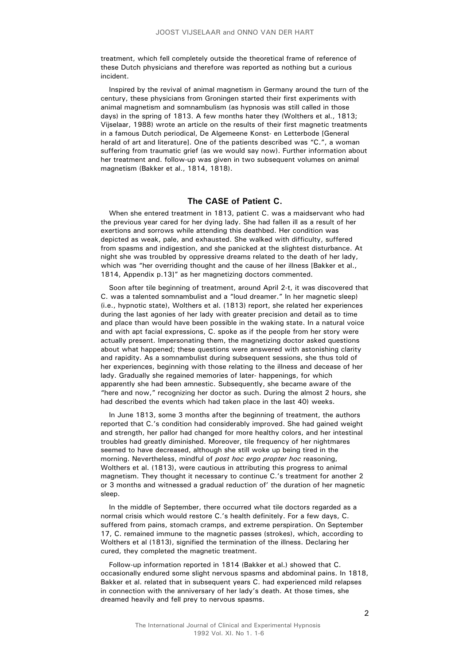treatment, which fell completely outside the theoretical frame of reference of these Dutch physicians and therefore was reported as nothing but a curious incident.

Inspired by the revival of animal magnetism in Germany around the turn of the century, these physicians from Groningen started their first experiments with animal magnetism and somnambulism (as hypnosis was still called in those days) in the spring of 1813. A few months hater they (Wolthers et al., 1813; Vijselaar, 1988) wrote an article on the results of their first magnetic treatments in a famous Dutch periodical, De Algemeene Konst- en Letterbode [General herald of art and literature]. One of the patients described was "C.", a woman suffering from traumatic grief (as we would say now). Further information about her treatment and. follow-up was given in two subsequent volumes on animal magnetism (Bakker et al., 1814, 1818).

## **The CASE of Patient C.**

When she entered treatment in 1813, patient C. was a maidservant who had the previous year cared for her dying lady. She had fallen ill as a result of her exertions and sorrows while attending this deathbed. Her condition was depicted as weak, pale, and exhausted. She walked with difficulty, suffered from spasms and indigestion, and she panicked at the slightest disturbance. At night she was troubled by oppressive dreams related to the death of her lady, which was "her overriding thought and the cause of her illness [Bakker et al., 1814, Appendix p.13]" as her magnetizing doctors commented.

Soon after tile beginning of treatment, around April 2-t, it was discovered that C. was a talented somnambulist and a "loud dreamer." In her magnetic sleep) (i.e., hypnotic state), Wolthers et al. (1813) report, she related her experiences during the last agonies of her lady with greater precision and detail as to time and place than would have been possible in the waking state. In a natural voice and with apt facial expressions, C. spoke as if the people from her story were actually present. Impersonating them, the magnetizing doctor asked questions about what happened; these questions were answered with astonishing clarity and rapidity. As a somnambulist during subsequent sessions, she thus told of her experiences, beginning with those relating to the illness and decease of her lady. Gradually she regained memories of later- happenings, for which apparently she had been amnestic. Subsequently, she became aware of the "here and now," recognizing her doctor as such. During the almost 2 hours, she had described the events which had taken place in the last 40) weeks.

In June 1813, some 3 months after the beginning of treatment, the authors reported that C.'s condition had considerably improved. She had gained weight and strength, her pallor had changed for more healthy colors, and her intestinal troubles had greatly diminished. Moreover, tile frequency of her nightmares seemed to have decreased, although she still woke up being tired in the morning. Nevertheless, mindful of *post hoc ergo propter hoc* reasoning, Wolthers et al. (1813), were cautious in attributing this progress to animal magnetism. They thought it necessary to continue C.'s treatment for another 2 or 3 months and witnessed a gradual reduction of' the duration of her magnetic sleep.

In the middle of September, there occurred what tile doctors regarded as a normal crisis which would restore C.'s health definitely. For a few days, C. suffered from pains, stomach cramps, and extreme perspiration. On September 17, C. remained immune to the magnetic passes (strokes), which, according to Wolthers et al (1813), signified the termination of the illness. Declaring her cured, they completed the magnetic treatment.

Follow-up information reported in 1814 (Bakker et al.) showed that C. occasionally endured some slight nervous spasms and abdominal pains. In 1818, Bakker et al. related that in subsequent years C. had experienced mild relapses in connection with the anniversary of her lady's death. At those times, she dreamed heavily and fell prey to nervous spasms.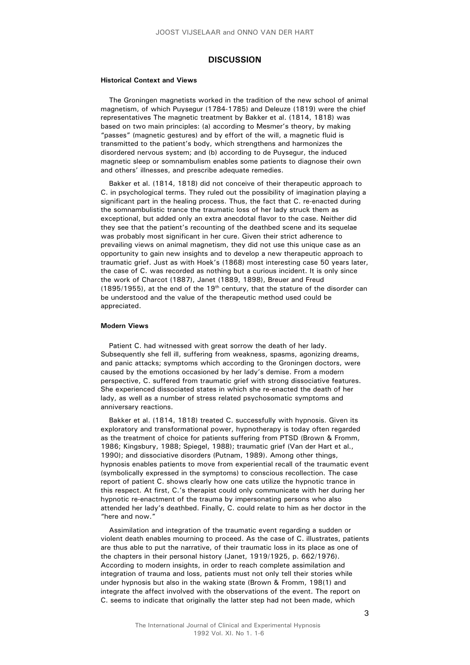### **DISCUSSION**

#### **Historical Context and Views**

The Groningen magnetists worked in the tradition of the new school of animal magnetism, of which Puysegur (1784-1785) and Deleuze (1819) were the chief representatives The magnetic treatment by Bakker et al. (1814, 1818) was based on two main principles: (a) according to Mesmer's theory, by making "passes" (magnetic gestures) and by effort of the will, a magnetic fluid is transmitted to the patient's body, which strengthens and harmonizes the disordered nervous system; and (b) according to de Puysegur, the induced magnetic sleep or somnambulism enables some patients to diagnose their own and others' illnesses, and prescribe adequate remedies.

Bakker et al. (1814, 1818) did not conceive of their therapeutic approach to C. in psychological terms. They ruled out the possibility of imagination playing a significant part in the healing process. Thus, the fact that C. re-enacted during the somnambulistic trance the traumatic loss of her lady struck them as exceptional, but added only an extra anecdotal flavor to the case. Neither did they see that the patient's recounting of the deathbed scene and its sequelae was probably most significant in her cure. Given their strict adherence to prevailing views on animal magnetism, they did not use this unique case as an opportunity to gain new insights and to develop a new therapeutic approach to traumatic grief. Just as with Hoek's (1868) most interesting case 50 years later, the case of C. was recorded as nothing but a curious incident. It is only since the work of Charcot (1887), Janet (1889, 1898), Breuer and Freud (1895/1955), at the end of the  $19<sup>th</sup>$  century, that the stature of the disorder can be understood and the value of the therapeutic method used could be appreciated.

#### **Modern Views**

Patient C. had witnessed with great sorrow the death of her lady. Subsequently she fell ill, suffering from weakness, spasms, agonizing dreams, and panic attacks; symptoms which according to the Groningen doctors, were caused by the emotions occasioned by her lady's demise. From a modern perspective, C. suffered from traumatic grief with strong dissociative features. She experienced dissociated states in which she re-enacted the death of her lady, as well as a number of stress related psychosomatic symptoms and anniversary reactions.

Bakker et al. (1814, 1818) treated C. successfully with hypnosis. Given its exploratory and transformational power, hypnotherapy is today often regarded as the treatment of choice for patients suffering from PTSD (Brown & Fromm, 1986; Kingsbury, 1988; Spiegel, 1988); traumatic grief (Van der Hart et al., 1990); and dissociative disorders (Putnam, 1989). Among other things, hypnosis enables patients to move from experiential recall of the traumatic event (symbolically expressed in the symptoms) to conscious recollection. The case report of patient C. shows clearly how one cats utilize the hypnotic trance in this respect. At first, C.'s therapist could only communicate with her during her hypnotic re-enactment of the trauma by impersonating persons who also attended her lady's deathbed. Finally, C. could relate to him as her doctor in the "here and now."

Assimilation and integration of the traumatic event regarding a sudden or violent death enables mourning to proceed. As the case of C. illustrates, patients are thus able to put the narrative, of their traumatic loss in its place as one of the chapters in their personal history (Janet, 1919/1925, p. 662/1976). According to modern insights, in order to reach complete assimilation and integration of trauma and loss, patients must not only tell their stories while under hypnosis but also in the waking state (Brown & Fromm, 198(1) and integrate the affect involved with the observations of the event. The report on C. seems to indicate that originally the latter step had not been made, which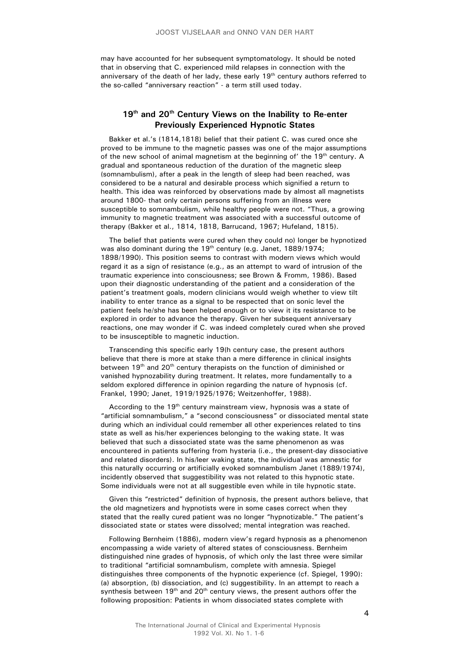may have accounted for her subsequent symptomatology. It should be noted that in observing that C. experienced mild relapses in connection with the anniversary of the death of her lady, these early  $19<sup>th</sup>$  century authors referred to the so-called "anniversary reaction" - a term still used today.

# 19<sup>th</sup> and 20<sup>th</sup> Century Views on the Inability to Re-enter **Previously Experienced Hypnotic States**

Bakker et al.'s (1814,1818) belief that their patient C. was cured once she proved to be immune to the magnetic passes was one of the major assumptions of the new school of animal magnetism at the beginning of' the 19<sup>th</sup> century. A gradual and spontaneous reduction of the duration of the magnetic sleep (somnambulism), after a peak in the length of sleep had been reached, was considered to be a natural and desirable process which signified a return to health. This idea was reinforced by observations made by almost all magnetists around 1800- that only certain persons suffering from an illness were susceptible to somnambulism, while healthy people were not. "Thus, a growing immunity to magnetic treatment was associated with a successful outcome of therapy (Bakker et al., 1814, 1818, Barrucand, 1967; Hufeland, 1815).

The belief that patients were cured when they could no) longer be hypnotized was also dominant during the  $19<sup>th</sup>$  century (e.g. Janet, 1889/1974; 1898/1990). This position seems to contrast with modern views which would regard it as a sign of resistance (e.g., as an attempt to ward of intrusion of the traumatic experience into consciousness; see Brown & Fromm, 1986). Based upon their diagnostic understanding of the patient and a consideration of the patient's treatment goals, modern clinicians would weigh whether to view tilt inability to enter trance as a signal to be respected that on sonic level the patient feels he/she has been helped enough or to view it its resistance to be explored in order to advance the therapy. Given her subsequent anniversary reactions, one may wonder if C. was indeed completely cured when she proved to be insusceptible to magnetic induction.

Transcending this specific early 19(h century case, the present authors believe that there is more at stake than a mere difference in clinical insights between 19<sup>th</sup> and 20<sup>th</sup> century therapists on the function of diminished or vanished hypnozability during treatment. It relates, more fundamentally to a seldom explored difference in opinion regarding the nature of hypnosis (cf. Frankel, 1990; Janet, 1919/1925/1976; Weitzenhoffer, 1988).

According to the 19<sup>th</sup> century mainstream view, hypnosis was a state of "artificial somnambulism," a "second consciousness" or dissociated mental state during which an individual could remember all other experiences related to tins state as well as his/her experiences belonging to the waking state. It was believed that such a dissociated state was the same phenomenon as was encountered in patients suffering from hysteria (i.e., the present-day dissociative and related disorders). In his/leer waking state, the individual was amnestic for this naturally occurring or artificially evoked somnambulism Janet (1889/1974), incidently observed that suggestibility was not related to this hypnotic state. Some individuals were not at all suggestible even while in tile hypnotic state.

Given this "restricted" definition of hypnosis, the present authors believe, that the old magnetizers and hypnotists were in some cases correct when they stated that the really cured patient was no longer "hypnotizable." The patient's dissociated state or states were dissolved; mental integration was reached.

Following Bernheim (1886), modern view's regard hypnosis as a phenomenon encompassing a wide variety of altered states of consciousness. Bernheim distinguished nine grades of hypnosis, of which only the last three were similar to traditional "artificial somnambulism, complete with amnesia. Spiegel distinguishes three components of the hypnotic experience (cf. Spiegel, 1990): (a) absorption, (b) dissociation, and (c) suggestibility. In an attempt to reach a synthesis between  $19<sup>th</sup>$  and  $20<sup>th</sup>$  century views, the present authors offer the following proposition: Patients in whom dissociated states complete with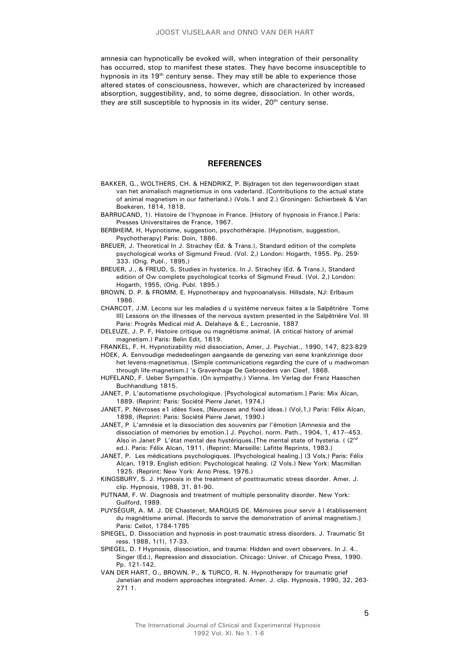amnesia can hypnotically be evoked will, when integration of their personality has occurred, stop to manifest these states. They have become insusceptible to hypnosis in its 19<sup>th</sup> century sense. They may still be able to experience those altered states of consciousness, however, which are characterized by increased absorption, suggestibility, and, to some degree, dissociation. In other words, they are still susceptible to hypnosis in its wider, 20<sup>th</sup> century sense.

#### **REFERENCES**

- BAKKER, G., WOLTHERS, CH. & HENDRIKZ, P. Bijdragen tot den tegenwoordigen staat van het animalisch magnetismus in ons vaderland. [Contributions to the actual state of animal magnetism in our fatherland.) (Vols.1 and 2.) Groningen: Schierbeek & Van Boekeren, 1814, 1818.
- BARRUCAND, 1). Histoire de I'hypnose in France. [History of hypnosis in France.] Paris: Presses Universitaires de France, 1967.
- BERBHEIM, H, Hypnotisme, suggestion, psychothérapie. [Hypnotism, suggestion, Psychotherapy] Paris: Doin, 1886.
- BREUER, J. Theoretical In J. Strachey (Ed. & Trans.), Standard edition of the complete psychological works of Sigmund Freud. (Vol. 2,) London: Hogarth, 1955. Pp. 259- 333. (Orig. Publ., 1895,)
- BREUER, J., & FREUD, S, Studies in hysterics. In J. Strachey (Ed. & Trans.), Standard edition of Ow complete psychological tcorks of Sigmund Freud. (Vol. 2,) London: Hogarth, 1955, (Orig. Publ. 1895.)
- BROWN, D. P. & FROMM, E. Hypnotherapy and hypnoanalysis. Hillsdale, NJ: Erlbaum 1986.
- CHARCOT, J.M. Lecons sur les maladies d u système nerveux faites a la Salpêtrière Tome III] Lessons on the illnesses of the nervous system presented in the Salpêtrière Vol. III Paris: Progrès Medical mid A. Delahaye & E., Lecrosnie, 1887
- DELEUZE, J. P. F, Histoire critique ou magnétisme animal. [A critical history of animal magnetism.) Paris: Belin Edit, 1819.
- FRANKEL, F. H. Hypnotizability mid dissociation, Amer, J. Psychiat., 1990, 147, 823-829
- HOEK, A. Eenvoudige mededeelingen aangaande de genezing van eene krankzinnige door het levens-magnetismus. [Simple communications regarding the cure of u madwoman through life-magnetism.] 's Gravenhage De Gebroeders van Cleef, 1868.
- HUFELAND, F. Ueber Sympathie. (On sympathy.) Vienna. Im Verlag der Franz Haaschen Buchhandlung 1815.
- JANET, P. L'automatisme psychologique. [Psychological automatism.] Paris: Mix Alcan, 1889. (Reprint: Paris: Société Pierre Janet, 1974,)
- JANET, P. Névroses e1 idées fixes, [Neuroses and fixed ideas.) (Vol,1,) Paris: Félix Alcan, 1898, (Reprint: Paris: Société Pierre Janet, 1990.)
- JANET, P L'amnésie et la dissociation des souvenirs par l'émotion [Amnesia and the dissociation of memories by emotion.] J. Psycho(. norm. Path., 1904, 1, 417--453. Also in Janet P L'état mental des hystériques. [The mental state of hysteria. ( $2<sup>nd</sup>$ ed.). Paris: Félix Alcan, 1911. (Reprint: Marseille: Lafitte Reprints, 1983.)
- JANET, P. Les médications psychologiques. [Psychological healing.] (3 Vols,) Paris: Félix AIcan, 1919. English edition: Psychological healing. (2 Vols.) New York: Macmillan 1925. (Reprint: New York: Arno Press, 1976.)
- KINGSBURY, S. J. Hypnosis in the treatment of posttraumatic stress disorder. Amer. J. clip. Hypnosis, 1988, 31. 81-90.
- PUTNAM, F. W. Diagnosis and treatment of multiple personality disorder. New York: Guilford, 1989.
- PUYSÉGUR, A. M. J. DE Chastenet, MARQUIS DE. Mémoires pour servir à l établissement du magnétisme animal. [Records to serve the demonstration of animal magnetism.] Paris: Cellot, 1784-1785
- SPIEGEL, D. Dissociation and hypnosis in post-traumatic stress disorders. J. Traumatic St ress. 1988, 1(1), 17-33.
- SPIEGEL, D. f Hypnosis, dissociation, and trauma: Hidden and overt observers. In J. 4.. Singer (Ed.), Repression and dissociation. Chicago: Univer. of Chicago Press, 1990. Pp. 121-142.
- VAN DER HART, O., BROWN, P., & TURCO, R. N. Hypnotherapy for traumatic grief Janetian and modern approaches integrated. Arner. J. clip. Hypnosis, 1990, 32, 263- 271 1.